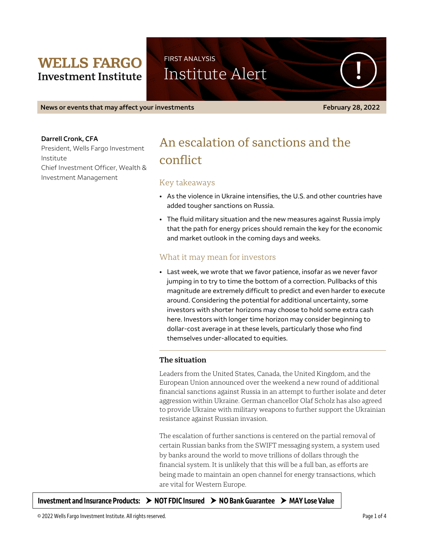# **WELLS FARGO Investment Institute**

FIRST ANALYSIS Institute Alert

**News or events that may affect your investments February 28, 2022** 

#### **Darrell Cronk, CFA**

President, Wells Fargo Investment Institute Chief Investment Officer, Wealth & Investment Management

# An escalation of sanctions and the conflict

## Key takeaways

- As the violence in Ukraine intensifies, the U.S. and other countries have added tougher sanctions on Russia.
- The fluid military situation and the new measures against Russia imply that the path for energy prices should remain the key for the economic and market outlook in the coming days and weeks.

# What it may mean for investors

• Last week, we wrote that we favor patience, insofar as we never favor jumping in to try to time the bottom of a correction. Pullbacks of this magnitude are extremely difficult to predict and even harder to execute around. Considering the potential for additional uncertainty, some investors with shorter horizons may choose to hold some extra cash here. Investors with longer time horizon may consider beginning to dollar-cost average in at these levels, particularly those who find themselves under-allocated to equities.

### **The situation**

Leaders from the United States, Canada, the United Kingdom, and the European Union announced over the weekend a new round of additional financial sanctions against Russia in an attempt to further isolate and deter aggression within Ukraine. German chancellor Olaf Scholz has also agreed to provide Ukraine with military weapons to further support the Ukrainian resistance against Russian invasion.

The escalation of further sanctions is centered on the partial removal of certain Russian banks from the SWIFT messaging system, a system used by banks around the world to move trillions of dollars through the financial system. It is unlikely that this will be a full ban, as efforts are being made to maintain an open channel for energy transactions, which are vital for Western Europe.

**Investment and Insurance Products: NOT FDIC Insured NO Bank Guarantee MAY Lose Value**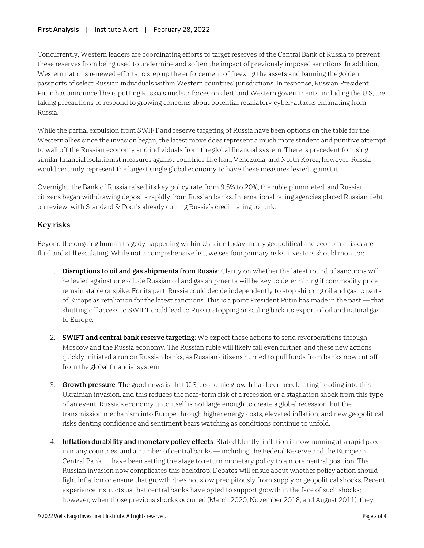### **First Analysis** | Institute Alert | February 28, 2022

Concurrently, Western leaders are coordinating efforts to target reserves of the Central Bank of Russia to prevent these reserves from being used to undermine and soften the impact of previously imposed sanctions. In addition, Western nations renewed efforts to step up the enforcement of freezing the assets and banning the golden passports of select Russian individuals within Western countries' jurisdictions. In response, Russian President Putin has announced he is putting Russia's nuclear forces on alert, and Western governments, including the U.S, are taking precautions to respond to growing concerns about potential retaliatory cyber-attacks emanating from Russia.

While the partial expulsion from SWIFT and reserve targeting of Russia have been options on the table for the Western allies since the invasion began, the latest move does represent a much more strident and punitive attempt to wall off the Russian economy and individuals from the global financial system. There is precedent for using similar financial isolationist measures against countries like Iran, Venezuela, and North Korea; however, Russia would certainly represent the largest single global economy to have these measures levied against it.

Overnight, the Bank of Russia raised its key policy rate from 9.5% to 20%, the ruble plummeted, and Russian citizens began withdrawing deposits rapidly from Russian banks. International rating agencies placed Russian debt on review, with Standard & Poor's already cutting Russia's credit rating to junk.

# **Key risks**

Beyond the ongoing human tragedy happening within Ukraine today, many geopolitical and economic risks are fluid and still escalating. While not a comprehensive list, we see four primary risks investors should monitor:

- 1. **Disruptions to oil and gas shipments from Russia**: Clarity on whether the latest round of sanctions will be levied against or exclude Russian oil and gas shipments will be key to determining if commodity price remain stable or spike. For its part, Russia could decide independently to stop shipping oil and gas to parts of Europe as retaliation for the latest sanctions. This is a point President Putin has made in the past — that shutting off access to SWIFT could lead to Russia stopping or scaling back its export of oil and natural gas to Europe.
- 2. **SWIFT and central bank reserve targeting**: We expect these actions to send reverberations through Moscow and the Russia economy. The Russian ruble will likely fall even further, and these new actions quickly initiated a run on Russian banks, as Russian citizens hurried to pull funds from banks now cut off from the global financial system.
- 3. **Growth pressure**: The good news is that U.S. economic growth has been accelerating heading into this Ukrainian invasion, and this reduces the near-term risk of a recession or a stagflation shock from this type of an event. Russia's economy unto itself is not large enough to create a global recession, but the transmission mechanism into Europe through higher energy costs, elevated inflation, and new geopolitical risks denting confidence and sentiment bears watching as conditions continue to unfold.
- 4. **Inflation durability and monetary policy effects**: Stated bluntly, inflation is now running at a rapid pace in many countries, and a number of central banks — including the Federal Reserve and the European Central Bank — have been setting the stage to return monetary policy to a more neutral position. The Russian invasion now complicates this backdrop. Debates will ensue about whether policy action should fight inflation or ensure that growth does not slow precipitously from supply or geopolitical shocks. Recent experience instructs us that central banks have opted to support growth in the face of such shocks; however, when those previous shocks occurred (March 2020, November 2018, and August 2011), they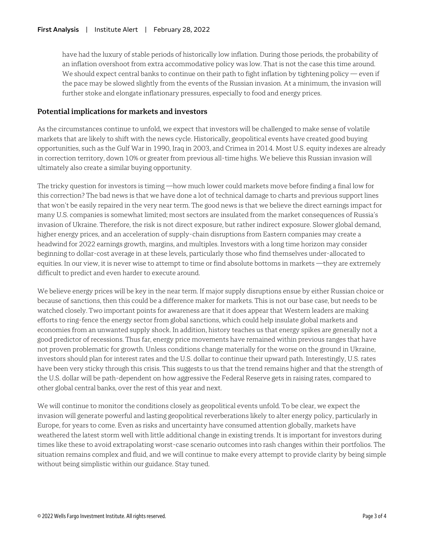have had the luxury of stable periods of historically low inflation. During those periods, the probability of an inflation overshoot from extra accommodative policy was low. That is not the case this time around. We should expect central banks to continue on their path to fight inflation by tightening policy — even if the pace may be slowed slightly from the events of the Russian invasion. At a minimum, the invasion will further stoke and elongate inflationary pressures, especially to food and energy prices.

## **Potential implications for markets and investors**

As the circumstances continue to unfold, we expect that investors will be challenged to make sense of volatile markets that are likely to shift with the news cycle. Historically, geopolitical events have created good buying opportunities, such as the Gulf War in 1990, Iraq in 2003, and Crimea in 2014. Most U.S. equity indexes are already in correction territory, down 10% or greater from previous all-time highs. We believe this Russian invasion will ultimately also create a similar buying opportunity.

The tricky question for investors is timing —how much lower could markets move before finding a final low for this correction? The bad news is that we have done a lot of technical damage to charts and previous support lines that won't be easily repaired in the very near term. The good news is that we believe the direct earnings impact for many U.S. companies is somewhat limited; most sectors are insulated from the market consequences of Russia's invasion of Ukraine. Therefore, the risk is not direct exposure, but rather indirect exposure. Slower global demand, higher energy prices, and an acceleration of supply-chain disruptions from Eastern companies may create a headwind for 2022 earnings growth, margins, and multiples. Investors with a long time horizon may consider beginning to dollar-cost average in at these levels, particularly those who find themselves under-allocated to equities. In our view, it is never wise to attempt to time or find absolute bottoms in markets —they are extremely difficult to predict and even harder to execute around.

We believe energy prices will be key in the near term. If major supply disruptions ensue by either Russian choice or because of sanctions, then this could be a difference maker for markets. This is not our base case, but needs to be watched closely. Two important points for awareness are that it does appear that Western leaders are making efforts to ring-fence the energy sector from global sanctions, which could help insulate global markets and economies from an unwanted supply shock. In addition, history teaches us that energy spikes are generally not a good predictor of recessions. Thus far, energy price movements have remained within previous ranges that have not proven problematic for growth. Unless conditions change materially for the worse on the ground in Ukraine, investors should plan for interest rates and the U.S. dollar to continue their upward path. Interestingly, U.S. rates have been very sticky through this crisis. This suggests to us that the trend remains higher and that the strength of the U.S. dollar will be path-dependent on how aggressive the Federal Reserve gets in raising rates, compared to other global central banks, over the rest of this year and next.

We will continue to monitor the conditions closely as geopolitical events unfold. To be clear, we expect the invasion will generate powerful and lasting geopolitical reverberations likely to alter energy policy, particularly in Europe, for years to come. Even as risks and uncertainty have consumed attention globally, markets have weathered the latest storm well with little additional change in existing trends. It is important for investors during times like these to avoid extrapolating worst-case scenario outcomes into rash changes within their portfolios. The situation remains complex and fluid, and we will continue to make every attempt to provide clarity by being simple without being simplistic within our guidance. Stay tuned.